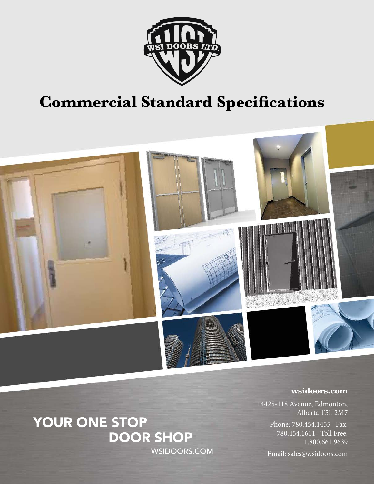

## **Commercial Standard Specifications**



#### **wsidoors.com**

14425-118 Avenue, Edmonton, Alberta T5L 2M7

> Phone: 780.454.1455 | Fax: 780.454.1611 | Toll Free: 1.800.661.9639

Email: sales@wsidoors.com

### YOUR ONE STOP **DOOR SHOP WSIDOORS.COM**